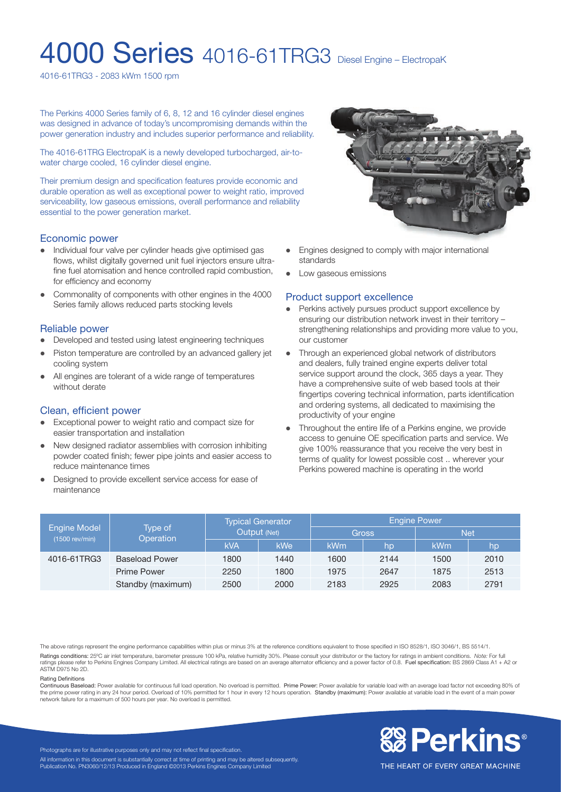# **4000 Series** 4016-61TRG3 Diesel Engine – ElectropaK

4016-61TRG3 - 2083 kWm 1500 rpm

The Perkins 4000 Series family of 6, 8, 12 and 16 cylinder diesel engines was designed in advance of today's uncompromising demands within the power generation industry and includes superior performance and reliability.

The 4016-61TRG ElectropaK is a newly developed turbocharged, air-towater charge cooled, 16 cylinder diesel engine.

Their premium design and specification features provide economic and durable operation as well as exceptional power to weight ratio, improved serviceability, low gaseous emissions, overall performance and reliability essential to the power generation market.

#### Economic power

- Individual four valve per cylinder heads give optimised gas flows, whilst digitally governed unit fuel injectors ensure ultrafine fuel atomisation and hence controlled rapid combustion, for efficiency and economy
- Commonality of components with other engines in the 4000 Series family allows reduced parts stocking levels

#### Reliable power

- Developed and tested using latest engineering techniques
- Piston temperature are controlled by an advanced gallery jet cooling system
- All engines are tolerant of a wide range of temperatures without derate

#### Clean, efficient power

- Exceptional power to weight ratio and compact size for easier transportation and installation
- New designed radiator assemblies with corrosion inhibiting powder coated finish; fewer pipe joints and easier access to reduce maintenance times
- Designed to provide excellent service access for ease of maintenance



- Engines designed to comply with major international standards
- Low gaseous emissions

#### Product support excellence

- Perkins actively pursues product support excellence by ensuring our distribution network invest in their territory – strengthening relationships and providing more value to you, our customer
- Through an experienced global network of distributors and dealers, fully trained engine experts deliver total service support around the clock, 365 days a year. They have a comprehensive suite of web based tools at their fingertips covering technical information, parts identification and ordering systems, all dedicated to maximising the productivity of your engine
- Throughout the entire life of a Perkins engine, we provide access to genuine OE specification parts and service. We give 100% reassurance that you receive the very best in terms of quality for lowest possible cost .. wherever your Perkins powered machine is operating in the world

| <b>Engine Model</b><br>(1500 rev/min) | Type of<br><b>Operation</b> | <b>Typical Generator</b><br>Output (Net) |            | <b>Engine Power</b> |      |            |      |
|---------------------------------------|-----------------------------|------------------------------------------|------------|---------------------|------|------------|------|
|                                       |                             |                                          |            | <b>Gross</b>        |      | <b>Net</b> |      |
|                                       |                             | <b>kVA</b>                               | <b>kWe</b> | <b>kWm</b>          | hp   | <b>kWm</b> | hp   |
| 4016-61TRG3                           | <b>Baseload Power</b>       | 1800                                     | 1440       | 1600                | 2144 | 1500       | 2010 |
|                                       | Prime Power                 | 2250                                     | 1800       | 1975                | 2647 | 1875       | 2513 |
|                                       | Standby (maximum)           | 2500                                     | 2000       | 2183                | 2925 | 2083       | 2791 |

The above ratings represent the engine performance capabilities within plus or minus 3% at the reference conditions equivalent to those specified in ISO 8528/1, ISO 3046/1, BS 5514/1. Ratings conditions: 25ºC air inlet temperature, barometer pressure 100 kPa, relative humidity 30%. Please consult your distributor or the factory for ratings in ambient conditions. *Note:* For full ratings please refer to Perkins Engines Company Limited. All electrical ratings are based on an average alternator efficiency and a power factor of 0.8. Fuel specification: BS 2869 Class A1 + A2 or ASTM D975 No 2D.

#### Rating Definitions

Continuous Baseload: Power available for continuous full load operation. No overload is permitted. Prime Power: Power available for variable load with an average load factor not exceeding 80% of the prime power rating in any 24 hour period. Overload of 10% permitted for 1 hour in every 12 hours operation. Standby (maximum): Power available at variable load in the event of a main power network failure for a maximum of 500 hours per year. No overload is permitted.



THE HEART OF EVERY GREAT MACHINE

Photographs are for illustrative purposes only and may not reflect final specification. All information in this document is substantially correct at time of printing and may be altered subsequently. Publication No. PN3060/12/13 Produced in England ©2013 Perkins Engines Company Limited